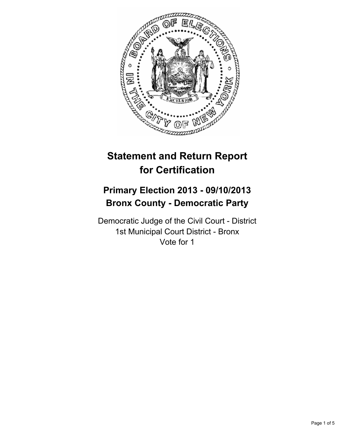

# **Statement and Return Report for Certification**

## **Primary Election 2013 - 09/10/2013 Bronx County - Democratic Party**

Democratic Judge of the Civil Court - District 1st Municipal Court District - Bronx Vote for 1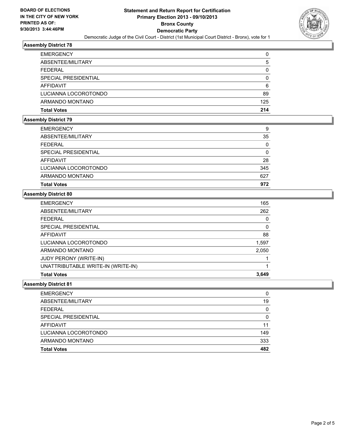

## **Assembly District 78**

| <b>Total Votes</b>   | 214      |
|----------------------|----------|
| ARMANDO MONTANO      | 125      |
| LUCIANNA LOCOROTONDO | 89       |
| <b>AFFIDAVIT</b>     | 6        |
| SPECIAL PRESIDENTIAL | $\Omega$ |
| <b>FEDERAL</b>       | 0        |
| ABSENTEE/MILITARY    | 5        |
| <b>EMERGENCY</b>     | 0        |

## **Assembly District 79**

| <b>Total Votes</b>   | 972 |
|----------------------|-----|
| ARMANDO MONTANO      | 627 |
| LUCIANNA LOCOROTONDO | 345 |
| AFFIDAVIT            | 28  |
| SPECIAL PRESIDENTIAL | 0   |
| <b>FEDERAL</b>       | 0   |
| ABSENTEE/MILITARY    | 35  |
| <b>EMERGENCY</b>     | 9   |

## **Assembly District 80**

| <b>EMERGENCY</b>                   | 165   |
|------------------------------------|-------|
| ABSENTEE/MILITARY                  | 262   |
| FEDERAL                            | 0     |
| SPECIAL PRESIDENTIAL               | 0     |
| AFFIDAVIT                          | 88    |
| LUCIANNA LOCOROTONDO               | 1,597 |
| ARMANDO MONTANO                    | 2,050 |
| JUDY PERONY (WRITE-IN)             |       |
| UNATTRIBUTABLE WRITE-IN (WRITE-IN) |       |
| <b>Total Votes</b>                 | 3,649 |

#### **Assembly District 81**

| <b>EMERGENCY</b>     | 0   |
|----------------------|-----|
| ABSENTEE/MILITARY    | 19  |
| <b>FEDERAL</b>       | 0   |
| SPECIAL PRESIDENTIAL | 0   |
| AFFIDAVIT            | 11  |
| LUCIANNA LOCOROTONDO | 149 |
| ARMANDO MONTANO      | 333 |
| <b>Total Votes</b>   | 482 |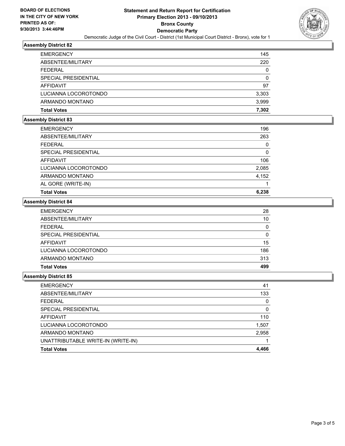

## **Assembly District 82**

| <b>EMERGENCY</b>     | 145   |
|----------------------|-------|
| ABSENTEE/MILITARY    | 220   |
| <b>FEDERAL</b>       | 0     |
| SPECIAL PRESIDENTIAL | 0     |
| AFFIDAVIT            | 97    |
| LUCIANNA LOCOROTONDO | 3,303 |
| ARMANDO MONTANO      | 3,999 |
| <b>Total Votes</b>   | 7.302 |

## **Assembly District 83**

| <b>EMERGENCY</b>     | 196   |
|----------------------|-------|
| ABSENTEE/MILITARY    | 263   |
| <b>FEDERAL</b>       | 0     |
| SPECIAL PRESIDENTIAL | 0     |
| AFFIDAVIT            | 106   |
| LUCIANNA LOCOROTONDO | 2,085 |
| ARMANDO MONTANO      | 4,152 |
| AL GORE (WRITE-IN)   |       |
| <b>Total Votes</b>   | 6,238 |

## **Assembly District 84**

| <b>EMERGENCY</b>     | 28  |
|----------------------|-----|
| ABSENTEE/MILITARY    | 10  |
| <b>FEDERAL</b>       | 0   |
| SPECIAL PRESIDENTIAL | 0   |
| AFFIDAVIT            | 15  |
| LUCIANNA LOCOROTONDO | 186 |
| ARMANDO MONTANO      | 313 |
| <b>Total Votes</b>   | 499 |

## **Assembly District 85**

| <b>EMERGENCY</b>                   | 41       |
|------------------------------------|----------|
| ABSENTEE/MILITARY                  | 133      |
| <b>FEDERAL</b>                     | $\Omega$ |
| SPECIAL PRESIDENTIAL               | $\Omega$ |
| AFFIDAVIT                          | 110      |
| LUCIANNA LOCOROTONDO               | 1,507    |
| ARMANDO MONTANO                    | 2,958    |
| UNATTRIBUTABLE WRITE-IN (WRITE-IN) |          |
| <b>Total Votes</b>                 | 4,466    |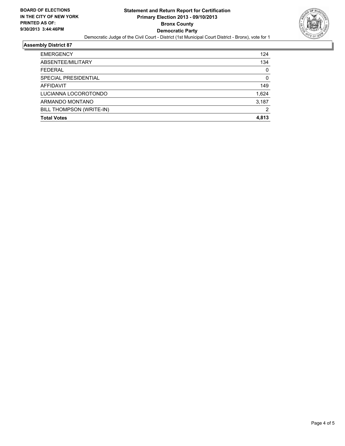

### **Assembly District 87**

| BILL THOMPSON (WRITE-IN) | 2     |
|--------------------------|-------|
|                          | 3,187 |
| ARMANDO MONTANO          |       |
| LUCIANNA LOCOROTONDO     | 1,624 |
| AFFIDAVIT                | 149   |
| SPECIAL PRESIDENTIAL     | 0     |
| <b>FEDERAL</b>           | 0     |
| ABSENTEE/MILITARY        | 134   |
| <b>EMERGENCY</b>         | 124   |